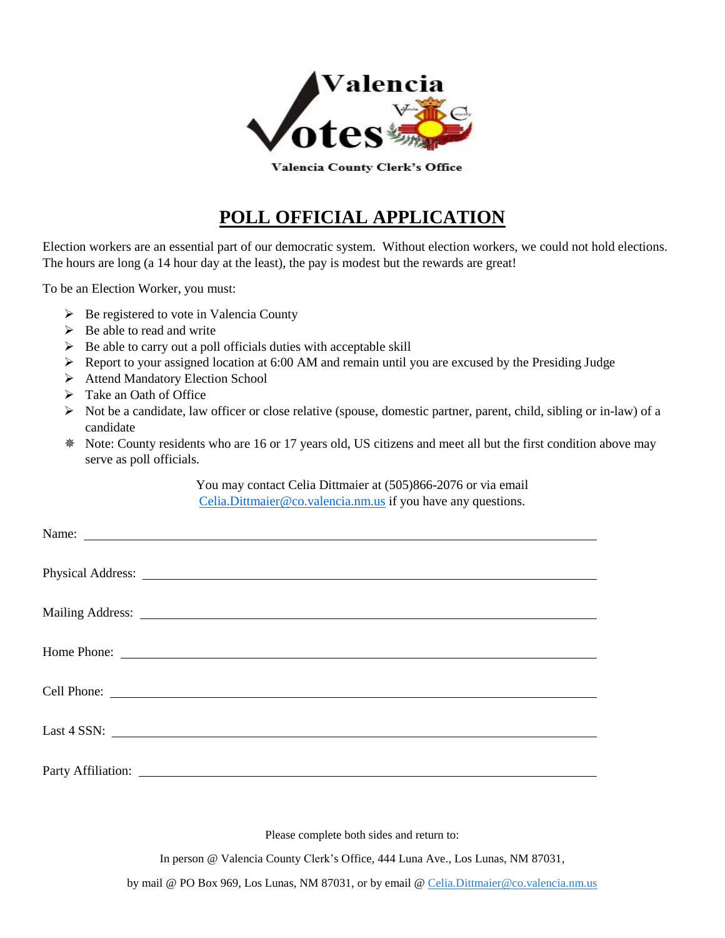

Valencia County Clerk's Office

## **POLL OFFICIAL APPLICATION**

Election workers are an essential part of our democratic system. Without election workers, we could not hold elections. The hours are long (a 14 hour day at the least), the pay is modest but the rewards are great!

To be an Election Worker, you must:

- $\triangleright$  Be registered to vote in Valencia County
- $\triangleright$  Be able to read and write
- $\triangleright$  Be able to carry out a poll officials duties with acceptable skill
- Report to your assigned location at 6:00 AM and remain until you are excused by the Presiding Judge
- ▶ Attend Mandatory Election School
- > Take an Oath of Office
- $\triangleright$  Not be a candidate, law officer or close relative (spouse, domestic partner, parent, child, sibling or in-law) of a candidate
- Note: County residents who are 16 or 17 years old, US citizens and meet all but the first condition above may serve as poll officials.

You may contact Celia Dittmaier at (505)866-2076 or via email [Celia.Dittmaier@co.valencia.nm.us](mailto:Celia.Dittmaier@co.valencia.nm.us) if you have any questions.

| Cell Phone:                                                                                                                                                                                                                    |
|--------------------------------------------------------------------------------------------------------------------------------------------------------------------------------------------------------------------------------|
|                                                                                                                                                                                                                                |
| Last 4 SSN:                                                                                                                                                                                                                    |
|                                                                                                                                                                                                                                |
|                                                                                                                                                                                                                                |
| Party Affiliation: National Accounts and Accounts are a set of the set of the set of the set of the set of the set of the set of the set of the set of the set of the set of the set of the set of the set of the set of the s |

Please complete both sides and return to:

In person @ Valencia County Clerk's Office, 444 Luna Ave., Los Lunas, NM 87031,

by mail @ PO Box 969, Los Lunas, NM 87031, or by email @ Celia.Dittmaier@co.valencia.nm.us